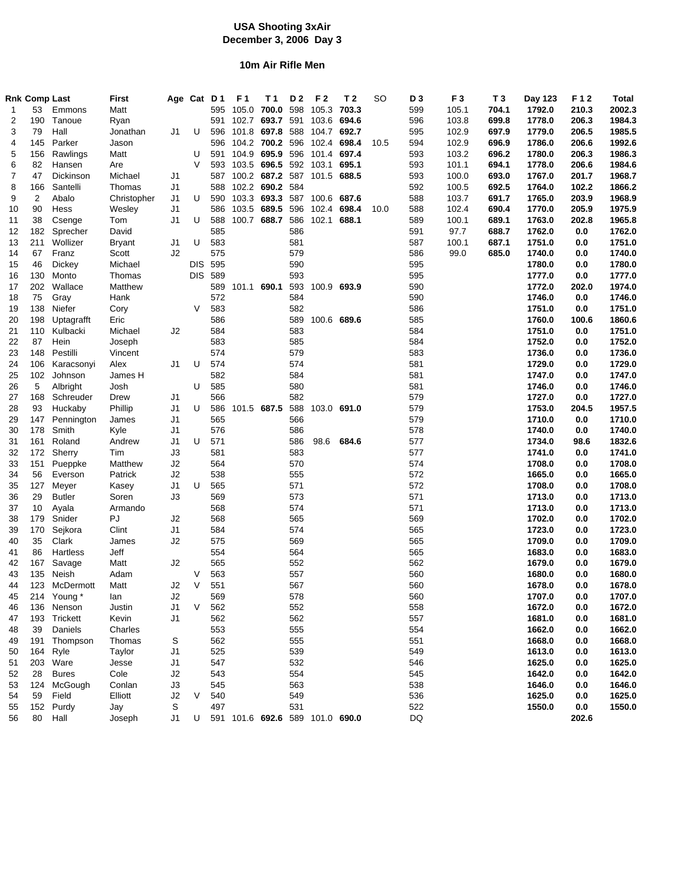# **USA Shooting 3xAir December 3, 2006 Day 3**

### **10m Air Rifle Men**

|                | <b>Rnk Comp Last</b> |                        | <b>First</b>  |                | Age Cat D1 |                | F <sub>1</sub>  | T 1                             | D <sub>2</sub> | F <sub>2</sub>  | T 2         | SO   | D3         | F <sub>3</sub> | T <sub>3</sub> | Day 123          | F12                   | <b>Total</b>     |
|----------------|----------------------|------------------------|---------------|----------------|------------|----------------|-----------------|---------------------------------|----------------|-----------------|-------------|------|------------|----------------|----------------|------------------|-----------------------|------------------|
| 1              | 53                   | Emmons                 | Matt          |                |            | 595            | 105.0           | 700.0                           | 598            | 105.3           | 703.3       |      | 599        | 105.1          | 704.1          | 1792.0           | 210.3                 | 2002.3           |
| 2              | 190                  | Tanoue                 | Ryan          |                |            | 591            |                 | 102.7 693.7 591                 |                |                 | 103.6 694.6 |      | 596        | 103.8          | 699.8          | 1778.0           | 206.3                 | 1984.3           |
| 3              | 79                   | Hall                   | Jonathan      | J1             | U          | 596            | 101.8           |                                 |                | 697.8 588 104.7 | 692.7       |      | 595        | 102.9          | 697.9          | 1779.0           | 206.5                 | 1985.5           |
| 4              | 145                  | Parker                 | Jason         |                |            | 596            |                 | 104.2 700.2 596 102.4           |                |                 | 698.4       | 10.5 | 594        | 102.9          | 696.9          | 1786.0           | 206.6                 | 1992.6           |
| 5              | 156                  | Rawlings               | Matt          |                | U          | 591            |                 | 104.9 695.9 596 101.4 697.4     |                |                 |             |      | 593        | 103.2          | 696.2          | 1780.0           | 206.3                 | 1986.3           |
| 6              | 82                   | Hansen                 | Are           |                | V          | 593            | 103.5           | 696.5 592 103.1                 |                |                 | 695.1       |      | 593        | 101.1          | 694.1          | 1778.0           | 206.6                 | 1984.6           |
| $\overline{7}$ | 47                   | Dickinson              | Michael       | J1             |            | 587            |                 | 100.2 687.2 587 101.5 688.5     |                |                 |             |      | 593        | 100.0          | 693.0          | 1767.0           | 201.7                 | 1968.7           |
| 8              | 166                  | Santelli               | Thomas        | J1             |            | 588            |                 | 102.2 690.2 584                 |                |                 |             |      | 592        | 100.5          | 692.5          | 1764.0           | 102.2                 | 1866.2           |
| 9              | $\overline{2}$       | Abalo                  | Christopher   | J1             | U          | 590            |                 | 103.3 693.3 587 100.6 687.6     |                |                 |             |      | 588        | 103.7          | 691.7          | 1765.0           | 203.9                 | 1968.9           |
| 10             | 90                   | Hess                   | Wesley        | J <sub>1</sub> |            | 586            | 103.5           | 689.5 596                       |                | 102.4           | 698.4       | 10.0 | 588        | 102.4          | 690.4          | 1770.0           | 205.9                 | 1975.9           |
| 11             | 38                   | Csenge                 | Tom           | J1             | U          | 588            |                 | 100.7 688.7                     |                | 586 102.1       | 688.1       |      | 589        | 100.1          | 689.1          | 1763.0           | 202.8                 | 1965.8           |
| 12             | 182                  | Sprecher               | David         |                |            | 585            |                 |                                 | 586            |                 |             |      | 591        | 97.7           | 688.7          | 1762.0           | 0.0                   | 1762.0           |
| 13             | 211                  | Wollizer               | <b>Bryant</b> | J1             | U          | 583            |                 |                                 | 581            |                 |             |      | 587        | 100.1          | 687.1          | 1751.0           | 0.0                   | 1751.0           |
| 14             | 67                   | Franz                  | Scott         | J2             |            | 575            |                 |                                 | 579            |                 |             |      | 586        | 99.0           | 685.0          | 1740.0           | 0.0                   | 1740.0           |
| 15             | 46                   | Dickey                 | Michael       |                | DIS.       | 595            |                 |                                 | 590            |                 |             |      | 595        |                |                | 1780.0           | 0.0                   | 1780.0           |
| 16             | 130                  | Monto                  | Thomas        |                |            | <b>DIS 589</b> |                 |                                 | 593            |                 |             |      | 595        |                |                | 1777.0           | 0.0                   | 1777.0           |
| 17             | 202                  | Wallace                | Matthew       |                |            |                | 589 101.1 690.1 |                                 |                | 593 100.9 693.9 |             |      | 590        |                |                | 1772.0           | 202.0                 | 1974.0           |
| 18             | 75                   | Gray                   | Hank          |                |            | 572            |                 |                                 | 584            |                 |             |      | 590        |                |                | 1746.0           | 0.0                   | 1746.0           |
| 19             | 138                  | Niefer                 | Cory          |                | V          | 583            |                 |                                 | 582            |                 |             |      | 586        |                |                | 1751.0           | 0.0                   | 1751.0           |
|                | 198                  |                        | Eric          |                |            | 586            |                 |                                 | 589            |                 | 100.6 689.6 |      | 585        |                |                | 1760.0           | 100.6                 | 1860.6           |
| 20<br>21       | 110                  | Uptagrafft<br>Kulbacki | Michael       | J2             |            | 584            |                 |                                 | 583            |                 |             |      | 584        |                |                | 1751.0           | 0.0                   | 1751.0           |
| 22             | 87                   | Hein                   |               |                |            | 583            |                 |                                 | 585            |                 |             |      | 584        |                |                | 1752.0           |                       | 1752.0           |
|                | 148                  | Pestilli               | Joseph        |                |            | 574            |                 |                                 | 579            |                 |             |      | 583        |                |                | 1736.0           | 0.0                   | 1736.0           |
| 23             | 106                  |                        | Vincent       |                | U          | 574            |                 |                                 | 574            |                 |             |      | 581        |                |                | 1729.0           | 0.0                   | 1729.0           |
| 24             |                      | Karacsonyi             | Alex          | J1             |            |                |                 |                                 |                |                 |             |      |            |                |                |                  | 0.0                   |                  |
| 25             | 102                  | Johnson                | James H       |                |            | 582            |                 |                                 | 584            |                 |             |      | 581        |                |                | 1747.0           | 0.0                   | 1747.0           |
| 26             | 5                    | Albright               | Josh          |                | U          | 585            |                 |                                 | 580            |                 |             |      | 581        |                |                | 1746.0           | 0.0                   | 1746.0           |
| 27             | 168                  | Schreuder              | Drew          | J1             |            | 566            |                 |                                 | 582            |                 |             |      | 579        |                |                | 1727.0           | 0.0                   | 1727.0           |
| 28             | 93                   | Huckaby                | Phillip       | J <sub>1</sub> | U          | 586            |                 | 101.5 687.5                     | 588            | 103.0 691.0     |             |      | 579        |                |                | 1753.0           | 204.5                 | 1957.5           |
| 29             | 147                  | Pennington             | James         | J1             |            | 565            |                 |                                 | 566            |                 |             |      | 579        |                |                | 1710.0           | 0.0                   | 1710.0           |
| 30             | 178                  | Smith                  | Kyle          | J <sub>1</sub> |            | 576            |                 |                                 | 586            |                 |             |      | 578        |                |                | 1740.0           | 0.0                   | 1740.0           |
| 31             | 161                  | Roland                 | Andrew        | J <sub>1</sub> | U          | 571            |                 |                                 | 586            | 98.6            | 684.6       |      | 577        |                |                | 1734.0           | 98.6                  | 1832.6           |
| 32             | 172                  | Sherry                 | Tim           | J3             |            | 581            |                 |                                 | 583            |                 |             |      | 577        |                |                | 1741.0           | 0.0                   | 1741.0           |
| 33             | 151                  | Pueppke                | Matthew       | J2             |            | 564            |                 |                                 | 570            |                 |             |      | 574        |                |                | 1708.0           | 0.0                   | 1708.0           |
| 34             | 56                   | Everson                | Patrick       | J2             |            | 538            |                 |                                 | 555            |                 |             |      | 572        |                |                | 1665.0           | 0.0                   | 1665.0           |
| 35             | 127                  | Meyer                  | Kasey         | J1             | U          | 565            |                 |                                 | 571            |                 |             |      | 572        |                |                | 1708.0           | 0.0                   | 1708.0           |
| 36             | 29                   | <b>Butler</b>          | Soren         | J3             |            | 569            |                 |                                 | 573            |                 |             |      | 571        |                |                | 1713.0           | 0.0                   | 1713.0           |
| 37             | 10                   | Ayala                  | Armando       |                |            | 568            |                 |                                 | 574            |                 |             |      | 571        |                |                | 1713.0           | 0.0                   | 1713.0           |
| 38             | 179                  | Snider                 | PJ            | J2             |            | 568            |                 |                                 | 565            |                 |             |      | 569        |                |                | 1702.0           | 0.0                   | 1702.0           |
| 39             | 170                  | Sejkora                | Clint         | J <sub>1</sub> |            | 584            |                 |                                 | 574            |                 |             |      | 565        |                |                | 1723.0           | 0.0                   | 1723.0           |
| 40             | 35                   | Clark                  | James         | J2             |            | 575            |                 |                                 | 569            |                 |             |      | 565        |                |                | 1709.0           | 0.0                   | 1709.0           |
| 41             | 86                   | Hartless               | Jeff          |                |            | 554            |                 |                                 | 564            |                 |             |      | 565        |                |                | 1683.0           | 0.0                   | 1683.0           |
| 42             | 167                  | Savage                 | Matt          | J2             | V          | 565            |                 |                                 | 552            |                 |             |      | 562        |                |                | 1679.0           | 0.0<br>$\mathbf{0.0}$ | 1679.0           |
| 43<br>44       | 135                  | Neish<br>123 McDermott | Adam          | J2             | V          | 563<br>551     |                 |                                 | 557<br>567     |                 |             |      | 560<br>560 |                |                | 1680.0<br>1678.0 | 0.0                   | 1680.0<br>1678.0 |
|                |                      |                        | Matt          |                |            |                |                 |                                 |                |                 |             |      |            |                |                |                  |                       |                  |
| 45             |                      | 214 Young*             | lan           | J2             | V          | 569            |                 |                                 | 578<br>552     |                 |             |      | 560        |                |                | 1707.0           | 0.0                   | 1707.0           |
| 46             |                      | 136 Nenson             | Justin        | J1             |            | 562            |                 |                                 |                |                 |             |      | 558        |                |                | 1672.0           | 0.0                   | 1672.0           |
| 47             | 193                  | Trickett               | Kevin         | J1             |            | 562            |                 |                                 | 562            |                 |             |      | 557        |                |                | 1681.0           | 0.0                   | 1681.0           |
| 48             | 39                   | Daniels                | Charles       |                |            | 553            |                 |                                 | 555            |                 |             |      | 554        |                |                | 1662.0           | 0.0                   | 1662.0           |
| 49             | 191                  | Thompson               | Thomas        | S              |            | 562            |                 |                                 | 555            |                 |             |      | 551        |                |                | 1668.0           | 0.0                   | 1668.0           |
| 50             | 164                  | Ryle                   | Taylor        | J1             |            | 525            |                 |                                 | 539            |                 |             |      | 549        |                |                | 1613.0           | 0.0                   | 1613.0           |
| 51             | 203                  | Ware                   | Jesse         | J1             |            | 547            |                 |                                 | 532            |                 |             |      | 546        |                |                | 1625.0           | 0.0                   | 1625.0           |
| 52             | 28                   | <b>Bures</b>           | Cole          | J2             |            | 543            |                 |                                 | 554            |                 |             |      | 545        |                |                | 1642.0           | 0.0                   | 1642.0           |
| 53             | 124                  | McGough                | Conlan        | J3             |            | 545            |                 |                                 | 563            |                 |             |      | 538        |                |                | 1646.0           | 0.0                   | 1646.0           |
| 54             | 59                   | Field                  | Elliott       | J2             | V          | 540            |                 |                                 | 549            |                 |             |      | 536        |                |                | 1625.0           | 0.0                   | 1625.0           |
| 55             |                      | 152 Purdy              | Jay           | S              |            | 497            |                 |                                 | 531            |                 |             |      | 522        |                |                | 1550.0           | 0.0                   | 1550.0           |
| 56             |                      | 80 Hall                | Joseph        | J1             | U          |                |                 | 591 101.6 692.6 589 101.0 690.0 |                |                 |             |      | DQ         |                |                |                  | 202.6                 |                  |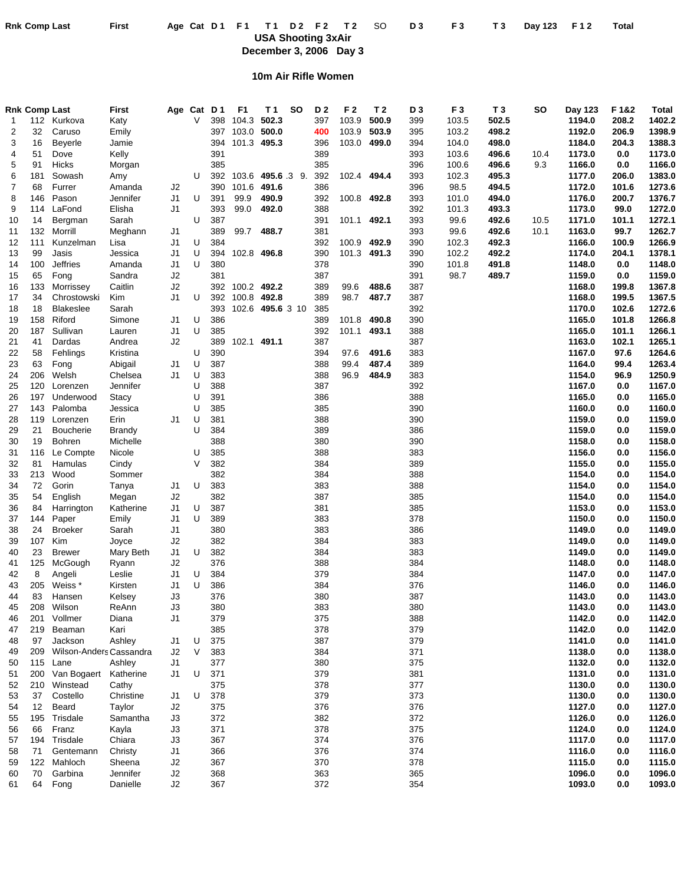Rnk Comp Last First Age Cat D1 F1 T1 D2 F2 T2 SO D3 F3 T3 Day 123 F12 Total

**USA Shooting 3xAir December 3, 2006 Day 3**

# **10m Air Rifle Women**

|    | <b>Rnk Comp Last</b> |                         | First     |    | Age Cat D1 |     | F1          | T 1               | <b>SO</b> | D <sub>2</sub> | F2          | T 2   | D3  | F <sub>3</sub> | T <sub>3</sub> | <b>SO</b> | Day 123 | F 1&2 | Total  |
|----|----------------------|-------------------------|-----------|----|------------|-----|-------------|-------------------|-----------|----------------|-------------|-------|-----|----------------|----------------|-----------|---------|-------|--------|
| 1  | 112                  | Kurkova                 | Katy      |    | V          | 398 | 104.3       | 502.3             |           | 397            | 103.9       | 500.9 | 399 | 103.5          | 502.5          |           | 1194.0  | 208.2 | 1402.2 |
| 2  | 32                   | Caruso                  | Emily     |    |            | 397 | 103.0       | 500.0             |           | 400            | 103.9       | 503.9 | 395 | 103.2          | 498.2          |           | 1192.0  | 206.9 | 1398.9 |
| 3  | 16                   | Beyerle                 | Jamie     |    |            | 394 | 101.3 495.3 |                   |           | 396            | 103.0 499.0 |       | 394 | 104.0          | 498.0          |           | 1184.0  | 204.3 | 1388.3 |
| 4  | 51                   | Dove                    | Kelly     |    |            | 391 |             |                   |           | 389            |             |       | 393 | 103.6          | 496.6          | 10.4      | 1173.0  | 0.0   | 1173.0 |
| 5  | 91                   | Hicks                   | Morgan    |    |            | 385 |             |                   |           | 385            |             |       | 396 | 100.6          | 496.6          | 9.3       | 1166.0  | 0.0   | 1166.0 |
| 6  | 181                  | Sowash                  | Amy       |    | U          | 392 |             | 103.6 495.6 .3 9. |           | 392            | 102.4 494.4 |       | 393 | 102.3          | 495.3          |           | 1177.0  | 206.0 | 1383.0 |
| 7  | 68                   | Furrer                  | Amanda    | J2 |            | 390 | 101.6       | 491.6             |           | 386            |             |       | 396 | 98.5           | 494.5          |           | 1172.0  | 101.6 | 1273.6 |
| 8  | 146                  | Pason                   | Jennifer  | J1 | U          | 391 | 99.9        | 490.9             |           | 392            | 100.8 492.8 |       | 393 | 101.0          | 494.0          |           | 1176.0  | 200.7 | 1376.7 |
| 9  | 114                  | LaFond                  | Elisha    | J1 |            | 393 | 99.0        | 492.0             |           | 388            |             |       | 392 | 101.3          | 493.3          |           | 1173.0  | 99.0  | 1272.0 |
| 10 | 14                   | Bergman                 | Sarah     |    | U          | 387 |             |                   |           | 391            | 101.1 492.1 |       | 393 | 99.6           | 492.6          | 10.5      | 1171.0  | 101.1 | 1272.1 |
| 11 | 132                  | Morrill                 | Meghann   | J1 |            | 389 | 99.7        | 488.7             |           | 381            |             |       | 393 | 99.6           | 492.6          | 10.1      | 1163.0  | 99.7  | 1262.7 |
| 12 | 111                  | Kunzelman               | Lisa      | J1 | U          | 384 |             |                   |           | 392            | 100.9       | 492.9 | 390 | 102.3          | 492.3          |           | 1166.0  | 100.9 | 1266.9 |
| 13 | 99                   | Jasis                   | Jessica   | J1 | U          | 394 | 102.8 496.8 |                   |           | 390            | 101.3 491.3 |       | 390 | 102.2          | 492.2          |           | 1174.0  | 204.1 | 1378.1 |
| 14 | 100                  | <b>Jeffries</b>         | Amanda    | J1 | U          | 380 |             |                   |           | 378            |             |       | 390 | 101.8          | 491.8          |           | 1148.0  | 0.0   | 1148.0 |
| 15 | 65                   | Fong                    | Sandra    | J2 |            | 381 |             |                   |           | 387            |             |       | 391 | 98.7           | 489.7          |           | 1159.0  | 0.0   | 1159.0 |
| 16 | 133                  | Morrissey               | Caitlin   | J2 |            | 392 | 100.2 492.2 |                   |           | 389            | 99.6        | 488.6 | 387 |                |                |           | 1168.0  | 199.8 | 1367.8 |
| 17 | 34                   | Chrostowski             | Kim       | J1 | U          | 392 | 100.8 492.8 |                   |           | 389            | 98.7        | 487.7 | 387 |                |                |           | 1168.0  | 199.5 | 1367.5 |
| 18 | 18                   | <b>Blakeslee</b>        | Sarah     |    |            | 393 |             | 102.6 495.6 3 10  |           | 385            |             |       | 392 |                |                |           | 1170.0  | 102.6 | 1272.6 |
| 19 | 158                  | Riford                  | Simone    | J1 | U          | 386 |             |                   |           | 389            | 101.8       | 490.8 | 390 |                |                |           | 1165.0  | 101.8 | 1266.8 |
| 20 | 187                  | Sullivan                | Lauren    | J1 | U          | 385 |             |                   |           | 392            | 101.1       | 493.1 | 388 |                |                |           | 1165.0  | 101.1 | 1266.1 |
| 21 | 41                   | Dardas                  | Andrea    | J2 |            | 389 | 102.1 491.1 |                   |           | 387            |             |       | 387 |                |                |           | 1163.0  | 102.1 | 1265.1 |
| 22 | 58                   | Fehlings                | Kristina  |    | U          | 390 |             |                   |           | 394            | 97.6        | 491.6 | 383 |                |                |           | 1167.0  | 97.6  | 1264.6 |
| 23 | 63                   | Fong                    | Abigail   | J1 | U          | 387 |             |                   |           | 388            | 99.4        | 487.4 | 389 |                |                |           | 1164.0  | 99.4  | 1263.4 |
| 24 | 206                  | Welsh                   | Chelsea   | J1 | U          | 383 |             |                   |           | 388            | 96.9        | 484.9 | 383 |                |                |           | 1154.0  | 96.9  | 1250.9 |
| 25 | 120                  | Lorenzen                | Jennifer  |    | U          | 388 |             |                   |           | 387            |             |       | 392 |                |                |           | 1167.0  | 0.0   | 1167.0 |
| 26 | 197                  | Underwood               | Stacy     |    | U          | 391 |             |                   |           | 386            |             |       | 388 |                |                |           | 1165.0  | 0.0   | 1165.0 |
| 27 | 143                  | Palomba                 | Jessica   |    | U          | 385 |             |                   |           | 385            |             |       | 390 |                |                |           | 1160.0  | 0.0   | 1160.0 |
| 28 | 119                  | Lorenzen                | Erin      | J1 | U          | 381 |             |                   |           | 388            |             |       | 390 |                |                |           | 1159.0  | 0.0   | 1159.0 |
| 29 | 21                   | <b>Boucherie</b>        | Brandy    |    | U          | 384 |             |                   |           | 389            |             |       | 386 |                |                |           | 1159.0  | 0.0   | 1159.0 |
| 30 | 19                   | <b>Bohren</b>           | Michelle  |    |            | 388 |             |                   |           | 380            |             |       | 390 |                |                |           | 1158.0  | 0.0   | 1158.0 |
| 31 | 116                  | Le Compte               | Nicole    |    | U          | 385 |             |                   |           | 388            |             |       | 383 |                |                |           | 1156.0  | 0.0   | 1156.0 |
| 32 | 81                   | Hamulas                 | Cindy     |    | V          | 382 |             |                   |           | 384            |             |       | 389 |                |                |           | 1155.0  | 0.0   | 1155.0 |
| 33 | 213                  | Wood                    | Sommer    |    |            | 382 |             |                   |           | 384            |             |       | 388 |                |                |           | 1154.0  | 0.0   | 1154.0 |
| 34 | 72                   | Gorin                   | Tanya     | J1 | U          | 383 |             |                   |           | 383            |             |       | 388 |                |                |           | 1154.0  | 0.0   | 1154.0 |
| 35 | 54                   | English                 | Megan     | J2 |            | 382 |             |                   |           | 387            |             |       | 385 |                |                |           | 1154.0  | 0.0   | 1154.0 |
| 36 | 84                   | Harrington              | Katherine | J1 | U          | 387 |             |                   |           | 381            |             |       | 385 |                |                |           | 1153.0  | 0.0   | 1153.0 |
| 37 | 144                  | Paper                   | Emily     | J1 | U          | 389 |             |                   |           | 383            |             |       | 378 |                |                |           | 1150.0  | 0.0   | 1150.0 |
| 38 | 24                   | <b>Broeker</b>          | Sarah     | J1 |            | 380 |             |                   |           | 383            |             |       | 386 |                |                |           | 1149.0  | 0.0   | 1149.0 |
| 39 | 107                  | Kim                     | Joyce     | J2 |            | 382 |             |                   |           | 384            |             |       | 383 |                |                |           | 1149.0  | 0.0   | 1149.0 |
| 40 | 23                   | <b>Brewer</b>           | Mary Beth | J1 | U          | 382 |             |                   |           | 384            |             |       | 383 |                |                |           | 1149.0  | 0.0   | 1149.0 |
| 41 | 125                  | McGough                 | Ryann     | J2 |            | 376 |             |                   |           | 388            |             |       | 384 |                |                |           | 1148.0  | 0.0   | 1148.0 |
| 42 | 8                    | Angeli                  | Leslie    | J1 | U          | 384 |             |                   |           | 379            |             |       | 384 |                |                |           | 1147.0  | 0.0   | 1147.0 |
| 43 | 205                  | Weiss *                 | Kirsten   | J1 | U          | 386 |             |                   |           | 384            |             |       | 376 |                |                |           | 1146.0  | 0.0   | 1146.0 |
| 44 | 83                   | Hansen                  | Kelsey    | JЗ |            | 376 |             |                   |           | 380            |             |       | 387 |                |                |           | 1143.0  | 0.0   | 1143.0 |
| 45 | 208                  | Wilson                  | ReAnn     | J3 |            | 380 |             |                   |           | 383            |             |       | 380 |                |                |           | 1143.0  | 0.0   | 1143.0 |
| 46 | 201                  | Vollmer                 | Diana     | J1 |            | 379 |             |                   |           | 375            |             |       | 388 |                |                |           | 1142.0  | 0.0   | 1142.0 |
| 47 | 219                  | Beaman                  | Kari      |    |            | 385 |             |                   |           | 378            |             |       | 379 |                |                |           | 1142.0  | 0.0   | 1142.0 |
| 48 | 97                   | Jackson                 | Ashley    | J1 | U          | 375 |             |                   |           | 387            |             |       | 379 |                |                |           | 1141.0  | 0.0   | 1141.0 |
| 49 | 209                  | Wilson-Anders Cassandra |           | J2 | V          | 383 |             |                   |           | 384            |             |       | 371 |                |                |           | 1138.0  | 0.0   | 1138.0 |
| 50 |                      | 115 Lane                | Ashley    | J1 |            | 377 |             |                   |           | 380            |             |       | 375 |                |                |           | 1132.0  | 0.0   | 1132.0 |
| 51 |                      | 200 Van Bogaert         | Katherine | J1 | U          | 371 |             |                   |           | 379            |             |       | 381 |                |                |           | 1131.0  | 0.0   | 1131.0 |
| 52 | 210                  | Winstead                | Cathy     |    |            | 375 |             |                   |           | 378            |             |       | 377 |                |                |           | 1130.0  | 0.0   | 1130.0 |
| 53 | 37                   | Costello                | Christine | J1 | U          | 378 |             |                   |           | 379            |             |       | 373 |                |                |           | 1130.0  | 0.0   | 1130.0 |
| 54 | 12                   | Beard                   | Taylor    | J2 |            | 375 |             |                   |           | 376            |             |       | 376 |                |                |           | 1127.0  | 0.0   | 1127.0 |
| 55 | 195                  | Trisdale                | Samantha  | J3 |            | 372 |             |                   |           | 382            |             |       | 372 |                |                |           | 1126.0  | 0.0   | 1126.0 |
| 56 | 66                   | Franz                   | Kayla     | J3 |            | 371 |             |                   |           | 378            |             |       | 375 |                |                |           | 1124.0  | 0.0   | 1124.0 |
| 57 |                      | 194 Trisdale            | Chiara    | J3 |            | 367 |             |                   |           | 374            |             |       | 376 |                |                |           | 1117.0  | 0.0   | 1117.0 |
| 58 | 71                   | Gentemann               | Christy   | J1 |            | 366 |             |                   |           | 376            |             |       | 374 |                |                |           | 1116.0  | 0.0   | 1116.0 |
| 59 | 122                  | Mahloch                 | Sheena    | J2 |            | 367 |             |                   |           | 370            |             |       | 378 |                |                |           | 1115.0  | 0.0   | 1115.0 |
| 60 | 70                   | Garbina                 | Jennifer  | J2 |            | 368 |             |                   |           | 363            |             |       | 365 |                |                |           | 1096.0  | 0.0   | 1096.0 |
| 61 | 64                   | Fong                    | Danielle  | J2 |            | 367 |             |                   |           | 372            |             |       | 354 |                |                |           | 1093.0  | 0.0   | 1093.0 |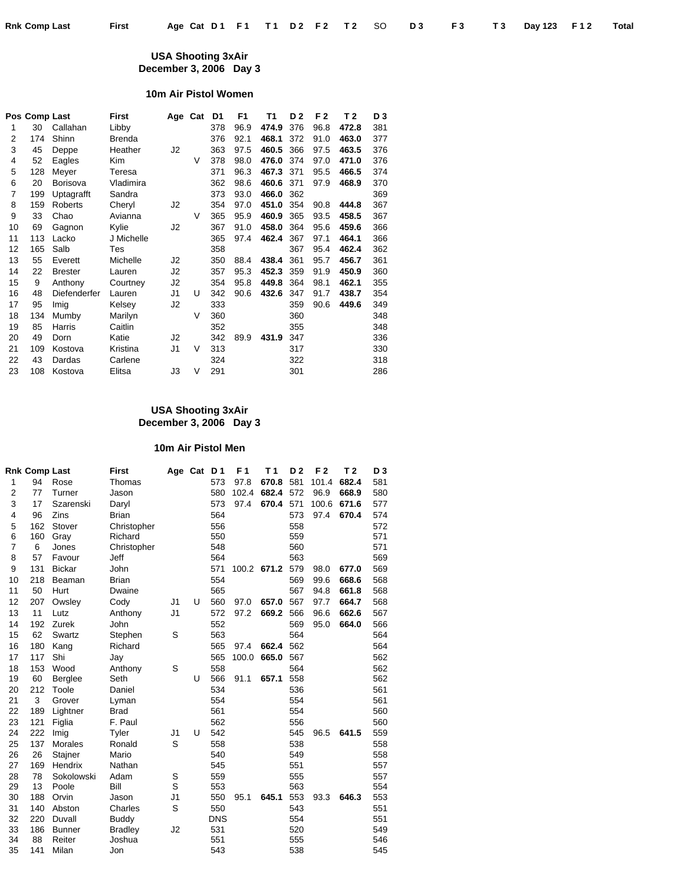#### **USA Shooting 3xAir December 3, 2006 Day 3**

## **10m Air Pistol Women**

|    | Pos Comp Last |                 | First         | Age Cat |   | D1  | F <sub>1</sub> | Τ1    | D <sub>2</sub> | F <sub>2</sub> | T 2   | D <sub>3</sub> |
|----|---------------|-----------------|---------------|---------|---|-----|----------------|-------|----------------|----------------|-------|----------------|
| 1  | 30            | Callahan        | Libby         |         |   | 378 | 96.9           | 474.9 | 376            | 96.8           | 472.8 | 381            |
| 2  | 174           | Shinn           | <b>Brenda</b> |         |   | 376 | 92.1           | 468.1 | 372            | 91.0           | 463.0 | 377            |
| 3  | 45            | Deppe           | Heather       | J2      |   | 363 | 97.5           | 460.5 | 366            | 97.5           | 463.5 | 376            |
| 4  | 52            | Eagles          | Kim           |         | V | 378 | 98.0           | 476.0 | 374            | 97.0           | 471.0 | 376            |
| 5  | 128           | Meyer           | Teresa        |         |   | 371 | 96.3           | 467.3 | 371            | 95.5           | 466.5 | 374            |
| 6  | 20            | <b>Borisova</b> | Vladimira     |         |   | 362 | 98.6           | 460.6 | 371            | 97.9           | 468.9 | 370            |
| 7  | 199           | Uptagrafft      | Sandra        |         |   | 373 | 93.0           | 466.0 | 362            |                |       | 369            |
| 8  | 159           | Roberts         | Cheryl        | J2      |   | 354 | 97.0           | 451.0 | 354            | 90.8           | 444.8 | 367            |
| 9  | 33            | Chao            | Avianna       |         | V | 365 | 95.9           | 460.9 | 365            | 93.5           | 458.5 | 367            |
| 10 | 69            | Gagnon          | Kylie         | J2      |   | 367 | 91.0           | 458.0 | 364            | 95.6           | 459.6 | 366            |
| 11 | 113           | Lacko           | J Michelle    |         |   | 365 | 97.4           | 462.4 | 367            | 97.1           | 464.1 | 366            |
| 12 | 165           | Salb            | Tes           |         |   | 358 |                |       | 367            | 95.4           | 462.4 | 362            |
| 13 | 55            | Everett         | Michelle      | J2      |   | 350 | 88.4           | 438.4 | 361            | 95.7           | 456.7 | 361            |
| 14 | 22            | <b>Brester</b>  | Lauren        | J2      |   | 357 | 95.3           | 452.3 | 359            | 91.9           | 450.9 | 360            |
| 15 | 9             | Anthony         | Courtney      | J2      |   | 354 | 95.8           | 449.8 | 364            | 98.1           | 462.1 | 355            |
| 16 | 48            | Diefenderfer    | Lauren        | J1      | U | 342 | 90.6           | 432.6 | 347            | 91.7           | 438.7 | 354            |
| 17 | 95            | Imig            | Kelsey        | J2      |   | 333 |                |       | 359            | 90.6           | 449.6 | 349            |
| 18 | 134           | Mumby           | Marilyn       |         | V | 360 |                |       | 360            |                |       | 348            |
| 19 | 85            | Harris          | Caitlin       |         |   | 352 |                |       | 355            |                |       | 348            |
| 20 | 49            | Dorn            | Katie         | J2      |   | 342 | 89.9           | 431.9 | 347            |                |       | 336            |
| 21 | 109           | Kostova         | Kristina      | J1      | V | 313 |                |       | 317            |                |       | 330            |
| 22 | 43            | Dardas          | Carlene       |         |   | 324 |                |       | 322            |                |       | 318            |
| 23 | 108           | Kostova         | Elitsa        | JЗ      | V | 291 |                |       | 301            |                |       | 286            |

### **USA Shooting 3xAir December 3, 2006 Day 3**

#### **10m Air Pistol Men**

|                | <b>Rnk Comp Last</b> |               | <b>First</b>   |    | Age Cat | D <sub>1</sub> | F 1   | T 1         | D <sub>2</sub> | F <sub>2</sub> | T 2   | D <sub>3</sub> |
|----------------|----------------------|---------------|----------------|----|---------|----------------|-------|-------------|----------------|----------------|-------|----------------|
| 1              | 94                   | Rose          | Thomas         |    |         | 573            | 97.8  | 670.8       | 581            | 101.4          | 682.4 | 581            |
| $\overline{2}$ | 77                   | Turner        | Jason          |    |         | 580            | 102.4 | 682.4       | 572            | 96.9           | 668.9 | 580            |
| 3              | 17                   | Szarenski     | Daryl          |    |         | 573            | 97.4  | 670.4       | 571            | 100.6          | 671.6 | 577            |
| 4              | 96                   | Zins          | <b>Brian</b>   |    |         | 564            |       |             | 573            | 97.4           | 670.4 | 574            |
| 5              | 162                  | Stover        | Christopher    |    |         | 556            |       |             | 558            |                |       | 572            |
| 6              | 160                  | Gray          | Richard        |    |         | 550            |       |             | 559            |                |       | 571            |
| $\overline{7}$ | 6                    | Jones         | Christopher    |    |         | 548            |       |             | 560            |                |       | 571            |
| 8              | 57                   | Favour        | Jeff           |    |         | 564            |       |             | 563            |                |       | 569            |
| 9              | 131                  | <b>Bickar</b> | John           |    |         | 571            |       | 100.2 671.2 | 579            | 98.0           | 677.0 | 569            |
| 10             | 218                  | Beaman        | <b>Brian</b>   |    |         | 554            |       |             | 569            | 99.6           | 668.6 | 568            |
| 11             | 50                   | Hurt          | Dwaine         |    |         | 565            |       |             | 567            | 94.8           | 661.8 | 568            |
| 12             | 207                  | Owsley        | Cody           | J1 | U       | 560            | 97.0  | 657.0       | 567            | 97.7           | 664.7 | 568            |
| 13             | 11                   | Lutz          | Anthony        | J1 |         | 572            | 97.2  | 669.2       | 566            | 96.6           | 662.6 | 567            |
| 14             | 192                  | Zurek         | John           |    |         | 552            |       |             | 569            | 95.0           | 664.0 | 566            |
| 15             | 62                   | Swartz        | Stephen        | S  |         | 563            |       |             | 564            |                |       | 564            |
| 16             | 180                  | Kang          | Richard        |    |         | 565            | 97.4  | 662.4       | 562            |                |       | 564            |
| 17             | 117                  | Shi           | Jay            |    |         | 565            | 100.0 | 665.0       | 567            |                |       | 562            |
| 18             | 153                  | Wood          | Anthony        | S  |         | 558            |       |             | 564            |                |       | 562            |
| 19             | 60                   | Berglee       | Seth           |    | U       | 566            | 91.1  | 657.1       | 558            |                |       | 562            |
| 20             | 212                  | Toole         | Daniel         |    |         | 534            |       |             | 536            |                |       | 561            |
| 21             | 3                    | Grover        | Lyman          |    |         | 554            |       |             | 554            |                |       | 561            |
| 22             | 189                  | Lightner      | <b>Brad</b>    |    |         | 561            |       |             | 554            |                |       | 560            |
| 23             | 121                  | Figlia        | F. Paul        |    |         | 562            |       |             | 556            |                |       | 560            |
| 24             | 222                  | Imig          | Tyler          | J1 | U       | 542            |       |             | 545            | 96.5           | 641.5 | 559            |
| 25             | 137                  | Morales       | Ronald         | S  |         | 558            |       |             | 538            |                |       | 558            |
| 26             | 26                   | Stajner       | Mario          |    |         | 540            |       |             | 549            |                |       | 558            |
| 27             | 169                  | Hendrix       | Nathan         |    |         | 545            |       |             | 551            |                |       | 557            |
| 28             | 78                   | Sokolowski    | Adam           | S  |         | 559            |       |             | 555            |                |       | 557            |
| 29             | 13                   | Poole         | Bill           | S  |         | 553            |       |             | 563            |                |       | 554            |
| 30             | 188                  | Orvin         | Jason          | J1 |         | 550            | 95.1  | 645.1       | 553            | 93.3           | 646.3 | 553            |
| 31             | 140                  | Abston        | Charles        | S  |         | 550            |       |             | 543            |                |       | 551            |
| 32             | 220                  | Duvall        | <b>Buddy</b>   |    |         | <b>DNS</b>     |       |             | 554            |                |       | 551            |
| 33             | 186                  | <b>Bunner</b> | <b>Bradley</b> | J2 |         | 531            |       |             | 520            |                |       | 549            |
| 34             | 88                   | Reiter        | Joshua         |    |         | 551            |       |             | 555            |                |       | 546            |
| 35             | 141                  | Milan         | Jon            |    |         | 543            |       |             | 538            |                |       | 545            |